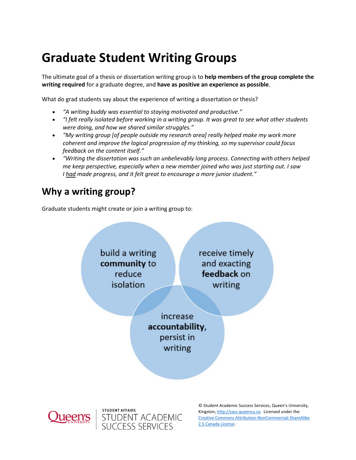# **Graduate Student Writing Groups**

The ultimate goal of a thesis or dissertation writing group is to **help members of the group complete the writing required** for a graduate degree, and **have as positive an experience as possible**.

What do grad students say about the experience of writing a dissertation or thesis?

- *"A writing buddy was essential to staying motivated and productive."*
- *"I felt really isolated before working in a writing group. It was great to see what other students were doing, and how we shared similar struggles."*
- *"My writing group [of people outside my research area] really helped make my work more coherent and improve the logical progression of my thinking, so my supervisor could focus feedback on the content itself."*
- *"Writing the dissertation was such an unbelievably long process. Connecting with others helped me keep perspective, especially when a new member joined who was just starting out. I saw I had made progress, and it felt great to encourage a more junior student."*

## **Why a writing group?**

Graduate students might create or join a writing group to:

**STUDENT AFFAIRS** 

STUDENT ACADEMIC<br>SUCCESS SERVICES

build a writing community to reduce isolation

receive timely and exacting feedback on writing

increase accountability, persist in writing

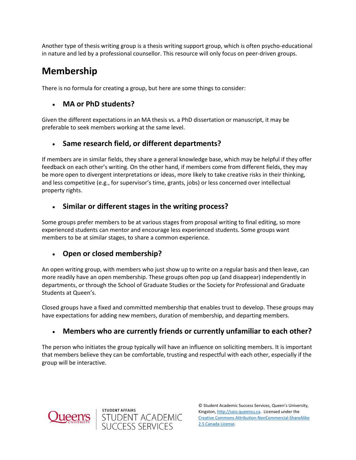Another type of thesis writing group is a thesis writing support group, which is often psycho-educational in nature and led by a professional counsellor. This resource will only focus on peer-driven groups.

## **Membership**

There is no formula for creating a group, but here are some things to consider:

### **MA or PhD students?**

Given the different expectations in an MA thesis vs. a PhD dissertation or manuscript, it may be preferable to seek members working at the same level.

## **Same research field, or different departments?**

If members are in similar fields, they share a general knowledge base, which may be helpful if they offer feedback on each other's writing. On the other hand, if members come from different fields, they may be more open to divergent interpretations or ideas, more likely to take creative risks in their thinking, and less competitive (e.g., for supervisor's time, grants, jobs) or less concerned over intellectual property rights.

### **Similar or different stages in the writing process?**

Some groups prefer members to be at various stages from proposal writing to final editing, so more experienced students can mentor and encourage less experienced students. Some groups want members to be at similar stages, to share a common experience.

### **Open or closed membership?**

An open writing group, with members who just show up to write on a regular basis and then leave, can more readily have an open membership. These groups often pop up (and disappear) independently in departments, or through the School of Graduate Studies or the Society for Professional and Graduate Students at Queen's.

Closed groups have a fixed and committed membership that enables trust to develop. These groups may have expectations for adding new members, duration of membership, and departing members.

### **Members who are currently friends or currently unfamiliar to each other?**

The person who initiates the group typically will have an influence on soliciting members. It is important that members believe they can be comfortable, trusting and respectful with each other, especially if the group will be interactive.



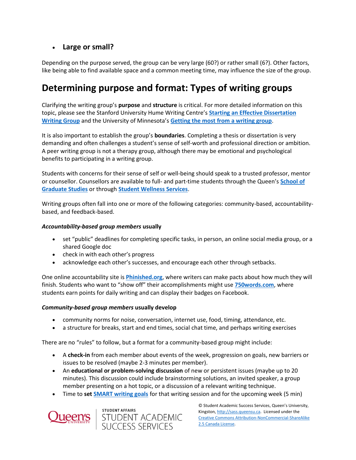### **Large or small?**

Depending on the purpose served, the group can be very large (60?) or rather small (6?). Other factors, like being able to find available space and a common meeting time, may influence the size of the group.

## **Determining purpose and format: Types of writing groups**

Clarifying the writing group's **purpose** and **structure** is critical. For more detailed information on this topic, please see the Stanford University Hume Writing Centre's **[Starting an Effective Dissertation](https://unmgrc.unm.edu/writing-groups/documents/starting-an-effective-group.pdf)  [Writing Group](https://unmgrc.unm.edu/writing-groups/documents/starting-an-effective-group.pdf)** and the University of Minnesota's **[Getting the most from a writing group](https://writing.umn.edu/sws/quickhelp/process/groups.html)**.

It is also important to establish the group's **boundaries**. Completing a thesis or dissertation is very demanding and often challenges a student's sense of self-worth and professional direction or ambition. A peer writing group is not a therapy group, although there may be emotional and psychological benefits to participating in a writing group.

Students with concerns for their sense of self or well-being should speak to a trusted professor, mentor or counsellor. Counsellors are available to full- and part-time students through the Queen's **[School of](https://www.queensu.ca/sgs/)  [Graduate Studies](https://www.queensu.ca/sgs/)** or through **[Student Wellness Services](https://queensu.ca/studentwellness/counselling-services)**.

Writing groups often fall into one or more of the following categories: community-based, accountabilitybased, and feedback-based.

#### *Accountability-based group members* **usually**

- set "public" deadlines for completing specific tasks, in person, an online social media group, or a shared Google doc
- check in with each other's progress
- acknowledge each other's successes, and encourage each other through setbacks.

One online accountability site is **[Phinished.org](https://www.phinished.org/)**, where writers can make pacts about how much they will finish. Students who want to "show off" their accomplishments might use **[750words.com](https://www.750words.com/)**, where students earn points for daily writing and can display their badges on Facebook.

#### *Community-based group members* **usually develop**

- community norms for noise, conversation, internet use, food, timing, attendance, etc.
- a structure for breaks, start and end times, social chat time, and perhaps writing exercises

There are no "rules" to follow, but a format for a community-based group might include:

- A **check-in** from each member about events of the week, progression on goals, new barriers or issues to be resolved (maybe 2-3 minutes per member).
- An **educational or problem-solving discussion** of new or persistent issues (maybe up to 20 minutes). This discussion could include brainstorming solutions, an invited speaker, a group member presenting on a hot topic, or a discussion of a relevant writing technique.
- Time to **set [SMART writing goals](https://writers.com/smart-writing-goals)** for that writing session and for the upcoming week (5 min)



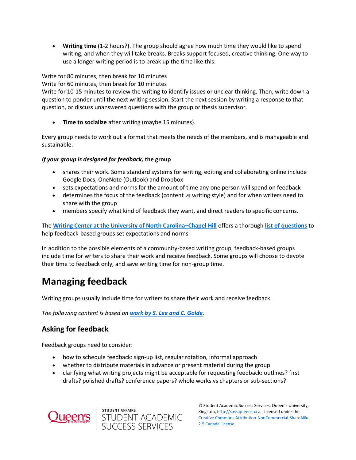**Writing time** (1-2 hours?). The group should agree how much time they would like to spend writing, and when they will take breaks. Breaks support focused, creative thinking. One way to use a longer writing period is to break up the time like this:

Write for 80 minutes, then break for 10 minutes

Write for 60 minutes, then break for 10 minutes

Write for 10-15 minutes to review the writing to identify issues or unclear thinking. Then, write down a question to ponder until the next writing session. Start the next session by writing a response to that question, or discuss unanswered questions with the group or thesis supervisor.

**Time to socialize** after writing (maybe 15 minutes).

Every group needs to work out a format that meets the needs of the members, and is manageable and sustainable.

#### *If your group is designed for feedback,* **the group**

- shares their work. Some standard systems for writing, editing and collaborating online include Google Docs, OneNote (Outlook) and Dropbox
- sets expectations and norms for the amount of time any one person will spend on feedback
- determines the focus of the feedback (content *vs* writing style) and for when writers need to share with the group
- members specify what kind of feedback they want, and direct readers to specific concerns.

The **[Writing Center at the University of North Carolina](https://writingcenter.unc.edu/)–Chapel Hill** offers a thorough **[list of questions](https://z.umn.edu/uncfeedbackgroup)** to help feedback-based groups set expectations and norms.

In addition to the possible elements of a community-based writing group, feedback-based groups include time for writers to share their work and receive feedback. Some groups will choose to devote their time to feedback only, and save writing time for non-group time.

## **Managing feedback**

Writing groups usually include time for writers to share their work and receive feedback.

*The following content is based on work by S. [Lee and C. Golde](https://unmgrc.unm.edu/writing-groups/documents/starting-an-effective-group.pdf).*

### **Asking for feedback**

Feedback groups need to consider:

- how to schedule feedback: sign-up list, regular rotation, informal approach
- whether to distribute materials in advance or present material during the group
- clarifying what writing projects might be acceptable for requesting feedback: outlines? first drafts? polished drafts? conference papers? whole works vs chapters or sub-sections?



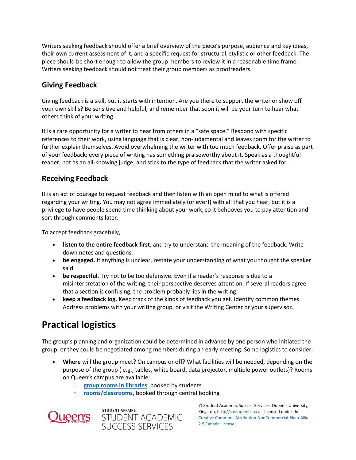Writers seeking feedback should offer a brief overview of the piece's purpose, audience and key ideas, their own current assessment of it, and a specific request for structural, stylistic or other feedback. The piece should be short enough to allow the group members to review it in a reasonable time frame. Writers seeking feedback should not treat their group members as proofreaders.

### **Giving Feedback**

Giving feedback is a skill, but it starts with intention. Are you there to support the writer or show off your own skills? Be sensitive and helpful, and remember that soon it will be your turn to hear what others think of your writing.

It is a rare opportunity for a writer to hear from others in a "safe space." Respond with specific references to their work, using language that is clear, non-judgmental and leaves room for the writer to further explain themselves. Avoid overwhelming the writer with too much feedback. Offer praise as part of your feedback; every piece of writing has something praiseworthy about it. Speak as a thoughtful reader, not as an all-knowing judge, and stick to the type of feedback that the writer asked for.

## **Receiving Feedback**

It is an act of courage to request feedback and then listen with an open mind to what is offered regarding your writing. You may not agree immediately (or ever!) with all that you hear, but it is a privilege to have people spend time thinking about your work, so it behooves you to pay attention and sort through comments later.

To accept feedback gracefully,

- **listen to the entire feedback first**, and try to understand the meaning of the feedback. Write down notes and questions.
- **be engaged.** If anything is unclear, restate your understanding of what you thought the speaker said.
- **be respectful.** Try not to be too defensive. Even if a reader's response is due to a misinterpretation of the writing, their perspective deserves attention. If several readers agree that a section is confusing, the problem probably lies in the writing.
- **keep a feedback log.** Keep track of the kinds of feedback you get. Identify common themes. Address problems with your writing group, or visit the Writing Center or your supervisor.

## **Practical logistics**

The group's planning and organization could be determined in advance by one person who initiated the group, or they could be negotiated among members during an early meeting. Some logistics to consider:

- **Where** will the group meet? On campus or off? What facilities will be needed, depending on the purpose of the group ( e.g., tables, white board, data projector, multiple power outlets)? Rooms on Queen's campus are available:
	- o **[group rooms in libraries](https://booking.library.queensu.ca/)**, booked by students
	- o **[rooms/classrooms](https://queensu.ca/roomreservations)**, booked through central booking



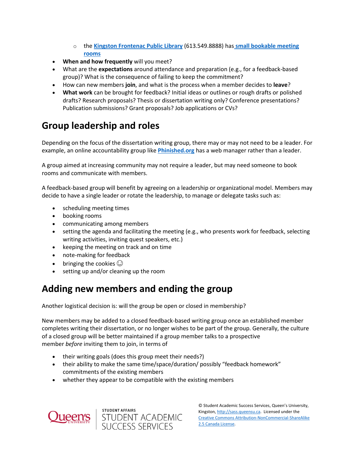- o the **[Kingston Frontenac Public Library](https://www.kfpl.ca/)** (613.549.8888) has **[small bookable meeting](https://www.kfpl.ca/library-services/meeting-room-rentals)  [rooms](https://www.kfpl.ca/library-services/meeting-room-rentals)**
- **When and how frequently** will you meet?
- What are the **expectations** around attendance and preparation (e.g., for a feedback-based group)? What is the consequence of failing to keep the commitment?
- How can new members **join**, and what is the process when a member decides to **leave**?
- **What work** can be brought for feedback? Initial ideas or outlines or rough drafts or polished drafts? Research proposals? Thesis or dissertation writing only? Conference presentations? Publication submissions? Grant proposals? Job applications or CVs?

## **Group leadership and roles**

Depending on the focus of the dissertation writing group, there may or may not need to be a leader. For example, an online accountability group like **[Phinished.org](https://www.phinished.org/)** has a web manager rather than a leader.

A group aimed at increasing community may not require a leader, but may need someone to book rooms and communicate with members.

A feedback-based group will benefit by agreeing on a leadership or organizational model. Members may decide to have a single leader or rotate the leadership, to manage or delegate tasks such as:

- scheduling meeting times
- booking rooms
- communicating among members
- setting the agenda and facilitating the meeting (e.g., who presents work for feedback, selecting writing activities, inviting quest speakers, etc.)
- keeping the meeting on track and on time
- note-making for feedback
- bringing the cookies  $\odot$
- setting up and/or cleaning up the room

## **Adding new members and ending the group**

Another logistical decision is: will the group be open or closed in membership?

New members may be added to a closed feedback-based writing group once an established member completes writing their dissertation, or no longer wishes to be part of the group. Generally, the culture of a closed group will be better maintained if a group member talks to a prospective member *before* inviting them to join, in terms of

- their writing goals (does this group meet their needs?)
- their ability to make the same time/space/duration/ possibly "feedback homework" commitments of the existing members
- whether they appear to be compatible with the existing members